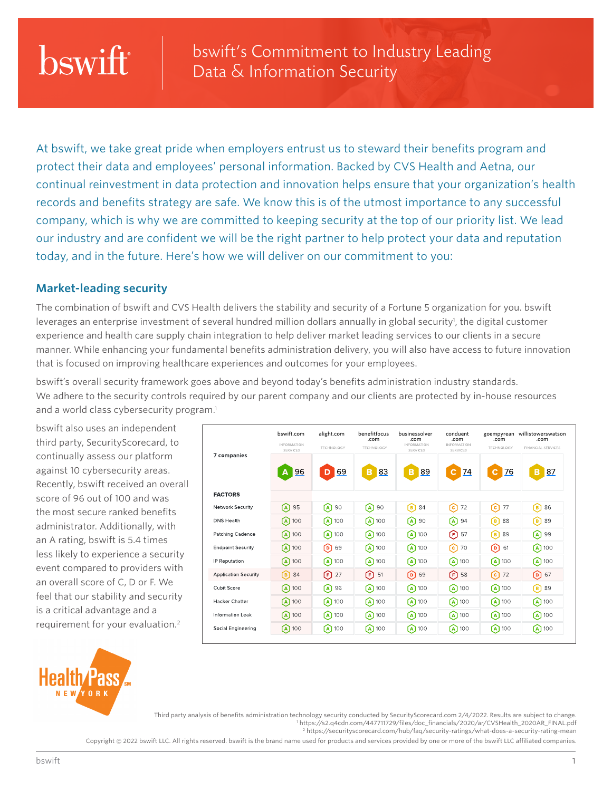## bswift

bswift's Commitment to Industry Leading Data & Information Security

At bswift, we take great pride when employers entrust us to steward their benefits program and protect their data and employees' personal information. Backed by CVS Health and Aetna, our continual reinvestment in data protection and innovation helps ensure that your organization's health records and benefits strategy are safe. We know this is of the utmost importance to any successful company, which is why we are committed to keeping security at the top of our priority list. We lead our industry and are confident we will be the right partner to help protect your data and reputation today, and in the future. Here's how we will deliver on our commitment to you:

## **Market-leading security**

The combination of bswift and CVS Health delivers the stability and security of a Fortune 5 organization for you. bswift leverages an enterprise investment of several hundred million dollars annually in global security<sup>1</sup>, the digital customer experience and health care supply chain integration to help deliver market leading services to our clients in a secure manner. While enhancing your fundamental benefits administration delivery, you will also have access to future innovation that is focused on improving healthcare experiences and outcomes for your employees.

bswift's overall security framework goes above and beyond today's benefits administration industry standards. We adhere to the security controls required by our parent company and our clients are protected by in-house resources and a world class cybersecurity program.<sup>1</sup>

**INFORMATION** 

. . . . . . . . . .<br>SERVICES

7 companies

bswift.com alight.com benefitfocus

TECHNOLOGY

bswift also uses an independent third party, SecurityScorecard, to continually assess our platform against 10 cybersecurity areas. Recently, bswift received an overall score of 96 out of 100 and was the most secure ranked benefits administrator. Additionally, with an A rating, bswift is 5.4 times less likely to experience a security event compared to providers with an overall score of C, D or F. We feel that our stability and security is a critical advantage and a requirement for your evaluation.2



|                             | 96<br>A                       | 69<br>D                       | 83<br>в                       | <u>89</u><br>в                | <u>74</u><br>с                | <u>76</u><br>c              | <u>87</u><br>B                |
|-----------------------------|-------------------------------|-------------------------------|-------------------------------|-------------------------------|-------------------------------|-----------------------------|-------------------------------|
| <b>FACTORS</b>              |                               |                               |                               |                               |                               |                             |                               |
| Network Security            | 95<br>[A]                     | 90<br>(A)                     | $[A]$ 90                      | 84<br>(B)                     | 72<br>[c]                     | (c)<br>77                   | 86<br>(B)                     |
| <b>DNS Health</b>           | $(A)$ 100                     | $(A)$ 100                     | $\left[\mathbf{A}\right]$ 100 | 90<br>(A)                     | 94<br>(A)                     | 88<br>(B)                   | 89<br>(B)                     |
| Patching Cadence            | $\left[\text{A}\right]$ 100   | $\left[\text{A}\right]$ 100   | $\left[\mathbf{A}\right]$ 100 | $\left[\mathbf{A}\right]$ 100 | $(F)$ 57                      | 89<br>(B)                   | 99<br>(A)                     |
| <b>Endpoint Security</b>    | $\left[\text{A}\right]$ 100   | $[D]$ 69                      | $\left[\mathbf{A}\right]$ 100 | $\left[\text{A}\right]$ 100   | ૯)<br>70                      | ര<br>61                     | $\left(\mathbf{A}\right)$ 100 |
| <b>IP</b> Reputation        | $\left[\text{A}\right]$ 100   | $\left[\text{A}\right]$ 100   | $\left[\mathbf{A}\right]$ 100 | $\Omega$ 100                  | $\left(\mathbf{A}\right)$ 100 | $\left(A\right)$ 100        | $\left(\mathbf{A}\right)$ 100 |
| <b>Application Security</b> | $\left[\frac{B}{B}\right]$ 84 | $(F)$ 27                      | F)<br>51                      | $\Omega$ 69                   | $F$ 58                        | િ)<br>72                    | $\left[ \text{D} \right]$ 67  |
| Cubit Score                 | $\left(\right)$ 100           | $\left[ \text{A} \right]$ 96  | $\left[\text{A}\right]$ 100   | $\Omega$ 100                  | $\left[\right]$ 100           | $\left[\text{A}\right]$ 100 | $\left[\mathbf{B}\right]$ 89  |
| <b>Hacker Chatter</b>       | $\left[\text{A}\right]$ 100   | $\left(\mathbf{A}\right)$ 100 | $\Omega$ 100                  | $\Omega$ 100                  | $\left[\text{A}\right]$ 100   | $\Omega$ 100                | $\left[\text{A}\right]$ 100   |
| <b>Information Leak</b>     | $\left(\right)$ 100           | $\left[\text{A}\right]$ 100   | $\left[\text{A}\right]$ 100   | $\Omega$ 100                  | $\left[\text{A}\right]$ 100   | $\Omega$ 100                | $\left[\text{A}\right]$ 100   |
| Social Engineering          | $\left(\mathbf{A}\right)$ 100 | $\left[\text{A}\right]$ 100   | $\left[\text{A}\right]$ 100   | $\left[\text{A}\right]$ 100   | $\left[\text{A}\right]$ 100   | $\Omega$ 100                | $\left[\text{A}\right]$ 100   |

.com

TECHNOLOGY

businessolver .com

SERVICES

conduent **.com**<br>INFORMATION

SERVICES

goempyrean .com willistowerswatson .com

FINANCIAL SERVICES

**TECHNOLOGY** 

Third party analysis of benefits administration technology security conducted by SecurityScorecard.com 2/4/2022. Results are subject to change. 1 https://s2.q4cdn.com/447711729/files/doc\_financials/2020/ar/CVSHealth\_2020AR\_FINAL.pdf 2 https://securityscorecard.com/hub/faq/security-ratings/what-does-a-security-rating-mean

Copyright © 2022 bswift LLC. All rights reserved. bswift is the brand name used for products and services provided by one or more of the bswift LLC affiliated companies.